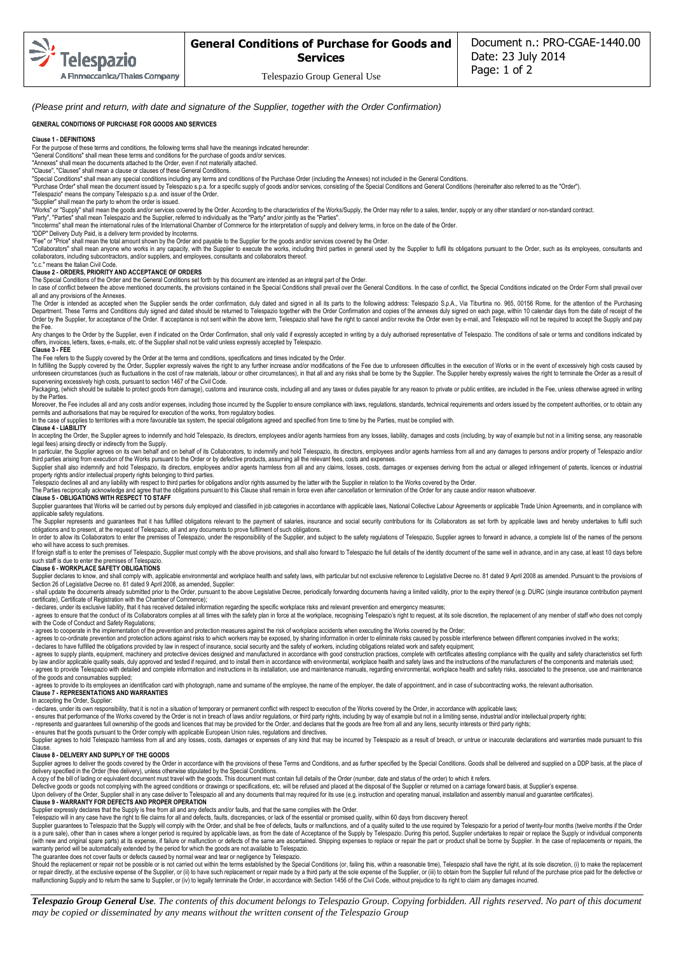Telespazio Group General Use

(Please print and return, with date and signature of the Supplier, together with the Order Confirmation)

## **GENERAL CONDITIONS OF PURCHASE FOR GOODS AND SERVICES**

### **Clause 1 - DEFINITIONS**

For the purpose of these terms and conditions, the following terms shall have the meanings indicated hereunder: "General Conditions" shall mean these terms and conditions for the purchase of goods and/or services.

"Annexes" shall mean the documents attached to the Order, even if not materially attached. "Clause", "Clauses" shall mean a clause or clauses of these General Conditions.

"Special Conditions" shall mean any special conditions including any terms and conditions of the Purchase Order (including the Annexes) not included in the General Conditions.

"Purchase Order" shall mean the document issued by Telespazio s.p.a. for a specific supply of goods and/or services, consisting of the Special Conditions and General Conditions (hereinafter also referred to as the "Order").

"Telespazio" means the company Telespazio s.p.a. and issuer of the Order. "Supplier" shall mean the party to whom the order is issued.

"Works" or "Supply" shall mean the goods and/or services covered by the Order. According to the characteristics of the Works/Supply, the Order may refer to a sales, tender, supply or any other standard or non-standard cont

"Party", "Parties" shall mean Telespazio and the Supplier, referred to individually as the "Party" and/or jointly as the "Parties".

"Incoterms" shall mean the international rules of the International Chamber of Commerce for the interpretation of supply and delivery terms, in force on the date of the Order.

"DDP" Delivery Duty Paid, is a delivery term provided by Incoterms.<br>"Fee" or "Price" shall mean the total amount shown by the Order and payable to the Supplier for the goods and/or services covered by the Order.

"Collaborators" shall mean anyone who works in any capacity, with the Supplier to execute the works, including third parties in general used by the Supplier to fulfil its obligations pursuant to the Order, such as its empl collaborators, including subcontractors, and/or suppliers, and employees, consultants and collaborators thereof. "c.c." means the Italian Civil Code.

## **Clause 2 - ORDERS, PRIORITY AND ACCEPTANCE OF ORDERS**

The Special Conditions of the Order and the General Conditions set forth by this document are intended as an integral part of the Order.

In case of conflict between the above mentioned documents, the provisions contained in the Special Conditions shall prevail over the General Conditions. In the case of conflict, the Special Conditions indicated on the Orde all and any provisions of the Annexes.

The Order is intended as accepted when the Supplier sends the order confirmation, duly dated and signed in all its parts to the following address: Telespazio S.p.A., Via Tiburtina no. 965, 00156 Rome, for the attention of Department. These Terms and Conditions duly signed and dated should be returned to Telespazio together with the Order Confirmation and copies of the annexes duly signed on each page, within 10 calendar days from the date o the Fee.

Any changes to the Order by the Supplier, even if indicated on the Order Confirmation, shall only valid if expressly accepted in writing by a duly authorised representative of Telespazio. The conditions of sale or terms an offers, invoices, letters, faxes, e-mails, etc. of the Supplier shall not be valid unless expressly accepted by Telespazio. **Clause 3 - FEE** 

The Fee refers to the Supply covered by the Order at the terms and conditions, specifications and times indicated by the Order.<br>In fulfilling the Supply covered by the Order, Supplier expressly waives the right to any furt unforeseen circumstances (such as fluctuations in the cost of raw materials, labour or other circumstances), in that all and any risks shall be borne by the Supplier. The Supplier hereby expressly waives the right to termi supervening excessively high costs, pursuant to section 1467 of the Civil Code.

Packaging, (which should be suitable to protect goods from damage), customs and insurance costs, including all and any taxes or duties payable for any reason to private or public entities, are included in the Fee, unless o by the Parties.

Moreover, the Fee includes all and any costs and/or expenses, including those incurred by the Supplier to ensure compliance with laws, regulations, standards, technical requirements and orders issued by the competent autho permits and authorisations that may be required for execution of the works, from regulatory bodies.<br>In the case of supplies to territories with a more favourable tax system, the special obligations agreed and specified fro

**Clause 4 - LIABILITY** 

In accepting the Order, the Supplier agrees to indemnify and hold Telespazio, its directors, employees and/or agents harmless from any losses, liability, damages and costs (including, by way of example but not in a limitin legal fees) arising directly or indirectly from the Supply.<br>In particular, the Supplier agrees on its own behalf and on behalf of its Collaborators, to indemnify and hold Telespazio, its directors, employees and/or agents

third parties arising from execution of the Works pursuant to the Order or by defective products, assuming all the relevant fees, costs and expenses.<br>Supplier shall also indemnify and hold Telespazio, its directors, employ

property rights and/or intellectual property rights belonging to third parties. Telespazio declines all and any liability with respect to third parties for obligations and/or rights assumed by the latter with the Supplier in relation to the Works covered by the Order.

The Parties reciprocally acknowledge and agree that the obligations pursuant to this Clause shall remain in force even after cancellation or termination of the Order for any cause and/or reason whatsoever.

### **Clause 5 - OBLIGATIONS WITH RESPECT TO STAFF**

Supplier guarantees that Works will be carried out by persons duly employed and classified in job categories in accordance with applicable laws, National Collective Labour Agreements or applicable Trade Union Agreements, a applicable safety regulations.

The Supplier represents and quarantees that it has fulfilled obligations relevant to the payment of salaries, insurance and social security contributions for its Collaborators as set forth by applicable laws and hereby und obligations and to present, at the request of Telespazio, all and any documents to prove fulfilment of such obligations.<br>In order to allow its Collaborators to enter the premises of Telespazio, under the responsibility of

### who will have access to such premises. If foreign staff is to enter the premises of Telespazio, Supplier must comply with the above provisions, and shall also forward to Telespazio the full details of the identity document of the same well in advance, and in an

such staff is due to enter the premises of Telespazio **Clause 6 - WORKPLACE SAFETY OBLIGATIONS** 

Supplier declares to know, and shall comply with, applicable environmental and workplace health and safety laws, with particular but not exclusive reference to Legislative Decree no. 81 dated 9 April 2008 as amended. Pursu

certificate), Certificate of Registration with the Chamber of Commerce);<br>- declares, under its exclusive liability, that it has received detailed information regarding the specific workplace risks and relevant prevention a

- agrees to ensure that the conduct of its Collaborators complies at all times with the safety plan in force at the workplace, recognising Telespazio's right to request, at its sole discretion, the replacement of any membe with the Code of Conduct and Safety Regulations;

- agrees to cooperate in the implementation of the prevention and protection measures against the risk of workplace accidents when executing the Works covered by the Order;<br>- agrees to co-ordinate prevention and protection

- declares to have fulfilled the obligations provided by law in respect of insurance, social security and the safety of workers, including obligations related work and safety equipment;<br>- agrees to supply plants, equipment by law and/or applicable quality seals, duly approved and tested if required, and to install them in accordance with environmental, workplace health and safety laws and the instructions of the manufacturers of the componen - agrees to provide Telespazio with detailed and complete information and instructions in its installation, use and maintenance manuals, regarding environmental, workplace health and safety risks, associated to the presenc

agrees to provide to its employees an identification card with photograph, name and sumame of the employee, the name of the employer, the date of appointment, and in case of subcontracting works, the relevant authorisation

### **Clause 7 - REPRESENTATIONS AND WARRANTIES**  In accepting the Order, Supplier:

- declares, under its own responsibility, that it is not in a situation of temporary or permanent conflict with respect to execution of the Works covered by the Order, in accordance with applicable laws;

- ensures that performance of the Works covered by the Order is not in breach of laws and/or regulations, or third party rights, including by way of example but not in a limiting sense, industrial and/or intellectual prope

- ensures that the goods pursuant to the Order comply with applicable European Union rules, regulations and directives.<br>Supplier agrees to hold Telespazio harmless from all and any losses, costs, damages or expenses of any Clause.

### **Clause 8 - DELIVERY AND SUPPLY OF THE GOODS**

Supplier agrees to deliver the goods covered by the Order in accordance with the provisions of these Terms and Conditions, and as further specified by the Special Conditions. Goods shall be delivered and supplied on a DDP

delivery specified in the Order (free delivery), unless otherwise stipulated by the Special Conditions.<br>A copy of the bill of lading or equivalent document must travel with the goods. This document must contain full detail

Defective goods or goods not complying with the agreed conditions or drawings or specifications, etc. will be refused and placed at the disposal of the Supplier or returned on a carriage forward basis, at Supplier's expens

**Clause 9 - WARRANTY FOR DEFECTS AND PROPER OPERATION** 

Supplier expressly declares that the Supply is free from all and any defects and/or faults, and that the same complies with the Order.

Telespazio will in any case have the right to file claims for all and defects, faults, discrepancies, or lack of the essential or promised quality, within 60 days from discovery thereof.<br>Supplier guarantees to Telespazio t

is a pure sale), other than in cases where a longer period is required by applicable laws, as from the date of Acceptance of the Supply by Telespazio. During this period, Supplier undertakes to repair or replace the Supply

The guarantee does not cover faults or defects caused by normal wear and tear or negligence by Telespazio.<br>Should the replacement or repair not be possible or is not carried out within the terms established by the Special or repair directly, at the exclusive expense of the Supplier, or (ii) to have such replacement or repair made by a third party at the sole expense of the Supplier, or (ii) to obtain from the Supplier full refund of the pur

*Telespazio Group General Use. The contents of this document belongs to Telespazio Group. Copying forbidden. All rights reserved. No part of this document may be copied or disseminated by any means without the written consent of the Telespazio Group*